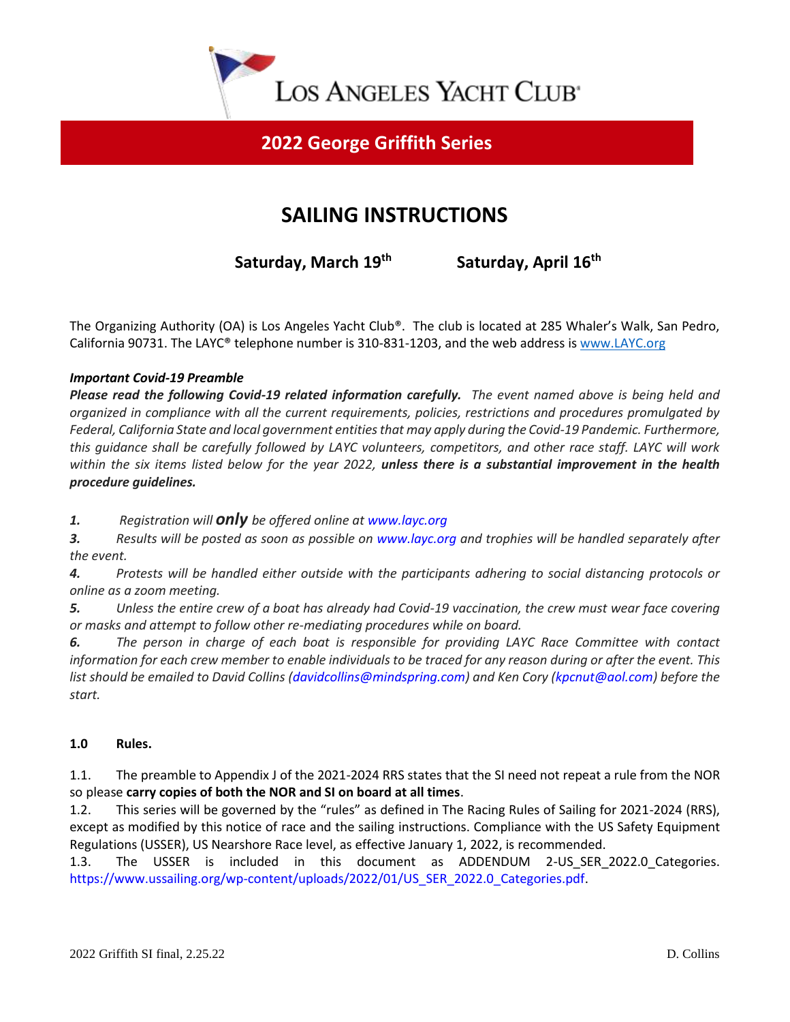

## **2022 George Griffith Series**

# **SAILING INSTRUCTIONS**

 **Saturday, March 19th**

 **Saturday, April 16 th**

The Organizing Authority (OA) is Los Angeles Yacht Club®. The club is located at 285 Whaler's Walk, San Pedro, California 90731. The LAYC® telephone number is 310-831-1203, and the web address is [www.LAYC.org](http://www.layc.org/)

## *Important Covid-19 Preamble*

*Please read the following Covid-19 related information carefully. The event named above is being held and organized in compliance with all the current requirements, policies, restrictions and procedures promulgated by Federal, California State and local government entities that may apply during the Covid-19 Pandemic. Furthermore, this guidance shall be carefully followed by LAYC volunteers, competitors, and other race staff. LAYC will work within the six items listed below for the year 2022, unless there is a substantial improvement in the health procedure guidelines.*

*1. Registration will only be offered online at www.layc.org*

*3. Results will be posted as soon as possible on www.layc.org and trophies will be handled separately after the event.*

*4. Protests will be handled either outside with the participants adhering to social distancing protocols or online as a zoom meeting.*

*5. Unless the entire crew of a boat has already had Covid-19 vaccination, the crew must wear face covering or masks and attempt to follow other re-mediating procedures while on board.*

*6. The person in charge of each boat is responsible for providing LAYC Race Committee with contact information for each crew member to enable individuals to be traced for any reason during or after the event. This list should be emailed to David Collins (davidcollins@mindspring.com) and Ken Cory (kpcnut@aol.com) before the start.*

### **1.0 Rules.**

1.1. The preamble to Appendix J of the 2021-2024 RRS states that the SI need not repeat a rule from the NOR so please **carry copies of both the NOR and SI on board at all times**.

1.2. This series will be governed by the "rules" as defined in The Racing Rules of Sailing for 2021-2024 (RRS), except as modified by this notice of race and the sailing instructions. Compliance with the US Safety Equipment Regulations (USSER), US Nearshore Race level, as effective January 1, 2022, is recommended.

1.3. The USSER is included in this document as ADDENDUM 2-US\_SER\_2022.0 Categories. https://www.ussailing.org/wp-content/uploads/2022/01/US\_SER\_2022.0\_Categories.pdf.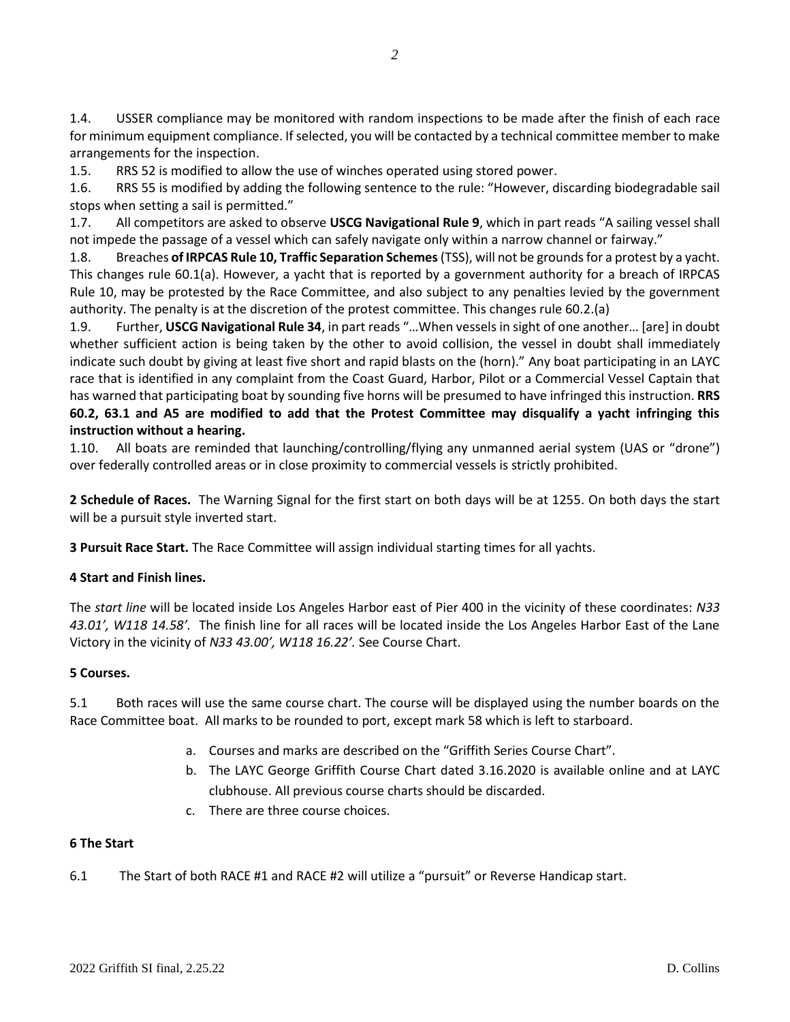1.4. USSER compliance may be monitored with random inspections to be made after the finish of each race for minimum equipment compliance. If selected, you will be contacted by a technical committee member to make arrangements for the inspection.

1.5. RRS 52 is modified to allow the use of winches operated using stored power.

1.6. RRS 55 is modified by adding the following sentence to the rule: "However, discarding biodegradable sail stops when setting a sail is permitted."

1.7. All competitors are asked to observe **USCG Navigational Rule 9**, which in part reads "A sailing vessel shall not impede the passage of a vessel which can safely navigate only within a narrow channel or fairway."

1.8. Breaches **of IRPCAS Rule 10, Traffic Separation Schemes** (TSS), will not be grounds for a protest by a yacht. This changes rule 60.1(a). However, a yacht that is reported by a government authority for a breach of IRPCAS Rule 10, may be protested by the Race Committee, and also subject to any penalties levied by the government authority. The penalty is at the discretion of the protest committee. This changes rule 60.2.(a)

1.9. Further, **USCG Navigational Rule 34**, in part reads "…When vessels in sight of one another… [are] in doubt whether sufficient action is being taken by the other to avoid collision, the vessel in doubt shall immediately indicate such doubt by giving at least five short and rapid blasts on the (horn)." Any boat participating in an LAYC race that is identified in any complaint from the Coast Guard, Harbor, Pilot or a Commercial Vessel Captain that has warned that participating boat by sounding five horns will be presumed to have infringed this instruction. **RRS 60.2, 63.1 and A5 are modified to add that the Protest Committee may disqualify a yacht infringing this instruction without a hearing.**

1.10. All boats are reminded that launching/controlling/flying any unmanned aerial system (UAS or "drone") over federally controlled areas or in close proximity to commercial vessels is strictly prohibited.

**2 Schedule of Races.** The Warning Signal for the first start on both days will be at 1255. On both days the start will be a pursuit style inverted start.

**3 Pursuit Race Start.** The Race Committee will assign individual starting times for all yachts.

### **4 Start and Finish lines.**

The *start line* will be located inside Los Angeles Harbor east of Pier 400 in the vicinity of these coordinates: *N33 43.01', W118 14.58'.* The finish line for all races will be located inside the Los Angeles Harbor East of the Lane Victory in the vicinity of *N33 43.00', W118 16.22'.* See Course Chart.

#### **5 Courses.**

5.1 Both races will use the same course chart. The course will be displayed using the number boards on the Race Committee boat. All marks to be rounded to port, except mark 58 which is left to starboard.

- a. Courses and marks are described on the "Griffith Series Course Chart".
- b. The LAYC George Griffith Course Chart dated 3.16.2020 is available online and at LAYC clubhouse. All previous course charts should be discarded.
- c. There are three course choices.

#### **6 The Start**

6.1 The Start of both RACE #1 and RACE #2 will utilize a "pursuit" or Reverse Handicap start.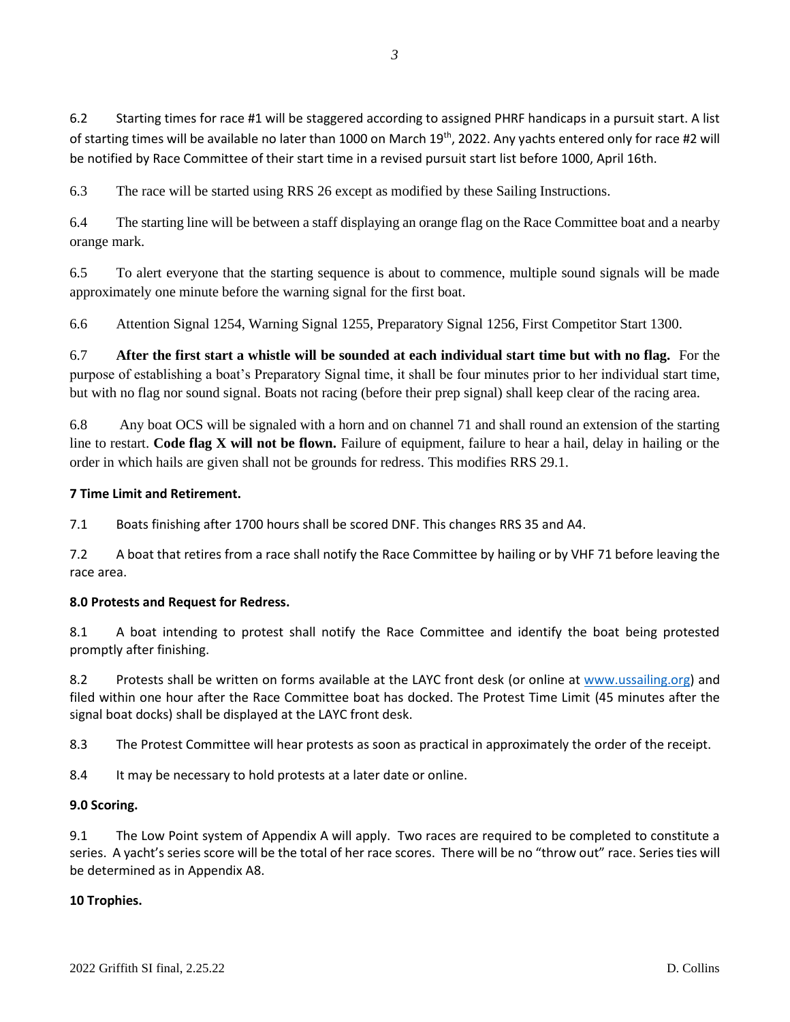6.3 The race will be started using RRS 26 except as modified by these Sailing Instructions.

6.4 The starting line will be between a staff displaying an orange flag on the Race Committee boat and a nearby orange mark.

6.5 To alert everyone that the starting sequence is about to commence, multiple sound signals will be made approximately one minute before the warning signal for the first boat.

6.6 Attention Signal 1254, Warning Signal 1255, Preparatory Signal 1256, First Competitor Start 1300.

6.7 **After the first start a whistle will be sounded at each individual start time but with no flag.** For the purpose of establishing a boat's Preparatory Signal time, it shall be four minutes prior to her individual start time, but with no flag nor sound signal. Boats not racing (before their prep signal) shall keep clear of the racing area.

6.8 Any boat OCS will be signaled with a horn and on channel 71 and shall round an extension of the starting line to restart. **Code flag X will not be flown.** Failure of equipment, failure to hear a hail, delay in hailing or the order in which hails are given shall not be grounds for redress. This modifies RRS 29.1.

## **7 Time Limit and Retirement.**

7.1 Boats finishing after 1700 hours shall be scored DNF. This changes RRS 35 and A4.

7.2 A boat that retires from a race shall notify the Race Committee by hailing or by VHF 71 before leaving the race area.

### **8.0 Protests and Request for Redress.**

8.1 A boat intending to protest shall notify the Race Committee and identify the boat being protested promptly after finishing.

8.2 Protests shall be written on forms available at the LAYC front desk (or online at [www.ussailing.org\)](http://www.ussailing.org/) and filed within one hour after the Race Committee boat has docked. The Protest Time Limit (45 minutes after the signal boat docks) shall be displayed at the LAYC front desk.

8.3 The Protest Committee will hear protests as soon as practical in approximately the order of the receipt.

8.4 It may be necessary to hold protests at a later date or online.

### **9.0 Scoring.**

9.1 The Low Point system of Appendix A will apply. Two races are required to be completed to constitute a series. A yacht's series score will be the total of her race scores. There will be no "throw out" race. Series ties will be determined as in Appendix A8.

### **10 Trophies.**